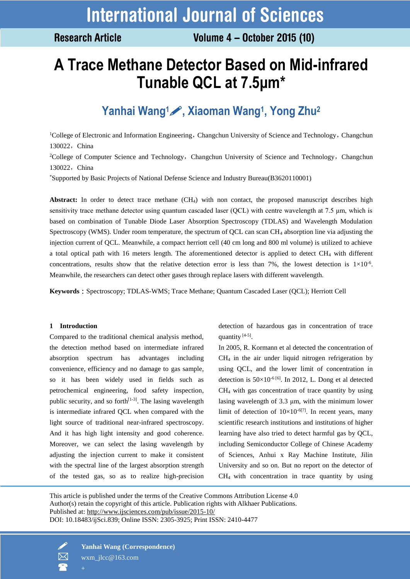**Research Article** 

# **A Trace Methane Detector Based on Mid-infrared Tunable QCL at 7.5μm\***

# **Yanhai Wang1, Xiaoman Wang<sup>1</sup> , Yong Zhu<sup>2</sup>**

<sup>1</sup>College of Electronic and Information Engineering, Changchun University of Science and Technology, Changchun 130022, China

<sup>2</sup>College of Computer Science and Technology, Changchun University of Science and Technology, Changchun 130022, China

\*Supported by Basic Projects of National Defense Science and Industry Bureau(B3620110001)

Abstract: In order to detect trace methane (CH<sub>4</sub>) with non contact, the proposed manuscript describes high sensitivity trace methane detector using quantum cascaded laser (QCL) with centre wavelength at 7.5 μm, which is based on combination of Tunable Diode Laser Absorption Spectroscopy (TDLAS) and Wavelength Modulation Spectroscopy (WMS). Under room temperature, the spectrum of QCL can scan CH<sup>4</sup> absorption line via adjusting the injection current of QCL. Meanwhile, a compact herriott cell (40 cm long and 800 ml volume) is utilized to achieve a total optical path with 16 meters length. The aforementioned detector is applied to detect CH<sup>4</sup> with different concentrations, results show that the relative detection error is less than 7%, the lowest detection is  $1\times10^{-6}$ . Meanwhile, the researchers can detect other gases through replace lasers with different wavelength.

**Keywords**: Spectroscopy; TDLAS-WMS; Trace Methane; Quantum Cascaded Laser (OCL); Herriott Cell

# **1 Introduction**

Compared to the traditional chemical analysis method, the detection method based on intermediate infrared absorption spectrum has advantages including convenience, efficiency and no damage to gas sample, so it has been widely used in fields such as petrochemical engineering, food safety inspection, public security, and so forth $[1-3]$ . The lasing wavelength is intermediate infrared QCL when compared with the light source of traditional near-infrared spectroscopy. And it has high light intensity and good coherence. Moreover, we can select the lasing wavelength by adjusting the injection current to make it consistent with the spectral line of the largest absorption strength of the tested gas, so as to realize high-precision detection of hazardous gas in concentration of trace quantity [4-5].

In 2005, R. Kormann et al detected the concentration of  $CH<sub>4</sub>$  in the air under liquid nitrogen refrigeration by using QCL, and the lower limit of concentration in detection is  $50\times10^{-6}$  [6]. In 2012, L. Dong et al detected CH<sup>4</sup> with gas concentration of trace quantity by using lasing wavelength of 3.3 μm, with the minimum lower limit of detection of  $10\times10^{-6[7]}$ . In recent years, many scientific research institutions and institutions of higher learning have also tried to detect harmful gas by QCL, including Semiconductor College of Chinese Academy of Sciences, Anhui x Ray Machine Institute, Jilin University and so on. But no report on the detector of CH<sup>4</sup> with concentration in trace quantity by using

This article is published under the terms of the Creative Commons Attribution License 4.0 Author(s) retain the copyright of this article. Publication rights with Alkhaer Publications. Published at:<http://www.ijsciences.com/pub/issue/2015-10/> DOI: 10.18483/ijSci.839; Online ISSN: 2305-3925; Print ISSN: 2410-4477

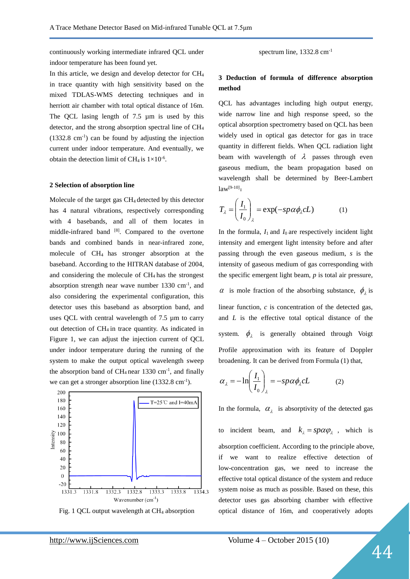continuously working intermediate infrared QCL under indoor temperature has been found yet.

In this article, we design and develop detector for CH<sup>4</sup> in trace quantity with high sensitivity based on the mixed TDLAS-WMS detecting techniques and in herriott air chamber with total optical distance of 16m. The QCL lasing length of 7.5  $\mu$ m is used by this detector, and the strong absorption spectral line of CH<sup>4</sup>  $(1332.8 \text{ cm}^{-1})$  can be found by adjusting the injection current under indoor temperature. And eventually, we obtain the detection limit of CH<sub>4</sub> is  $1 \times 10^{-6}$ .

#### **2 Selection of absorption line**

Molecule of the target gas CH<sup>4</sup> detected by this detector has 4 natural vibrations, respectively corresponding with 4 basebands, and all of them locates in middle-infrared band [8]. Compared to the overtone bands and combined bands in near-infrared zone, molecule of CH<sup>4</sup> has stronger absorption at the baseband. According to the HITRAN database of 2004, and considering the molecule of  $CH<sub>4</sub>$  has the strongest absorption strength near wave number  $1330 \text{ cm}^{-1}$ , and also considering the experimental configuration, this detector uses this baseband as absorption band, and uses QCL with central wavelength of 7.5 µm to carry out detection of CH<sup>4</sup> in trace quantity. As indicated in Figure 1, we can adjust the injection current of QCL under indoor temperature during the running of the system to make the output optical wavelength sweep the absorption band of  $CH_4$  near 1330 cm<sup>-1</sup>, and finally we can get a stronger absorption line  $(1332.8 \text{ cm}^{-1})$ .



Fig. 1 QCL output wavelength at CH<sup>4</sup> absorption

spectrum line,  $1332.8 \text{ cm}^{-1}$ 

# **3 Deduction of formula of difference absorption method**

QCL has advantages including high output energy, wide narrow line and high response speed, so the optical absorption spectrometry based on QCL has been widely used in optical gas detector for gas in trace quantity in different fields. When QCL radiation light beam with wavelength of  $\lambda$  passes through even gaseous medium, the beam propagation based on wavelength shall be determined by Beer-Lambert  $law^{[9-10]}$ :

$$
T_{\lambda} = \left(\frac{I_1}{I_0}\right)_{\lambda} = \exp(-sp\alpha\phi_{\lambda}cL)
$$
 (1)

In the formula,  $I_1$  and  $I_0$  are respectively incident light intensity and emergent light intensity before and after passing through the even gaseous medium, *s* is the intensity of gaseous medium of gas corresponding with the specific emergent light beam, *p* is total air pressure,  $\alpha$  is mole fraction of the absorbing substance,  $\phi_{\lambda}$  is linear function, *c* is concentration of the detected gas, and *L* is the effective total optical distance of the system.  $\phi_{\lambda}$  is generally obtained through Voigt Profile approximation with its feature of Doppler broadening. It can be derived from Formula (1) that,

$$
\alpha_{\lambda} = -\ln\left(\frac{I_1}{I_0}\right)_{\lambda} = -sp\alpha\phi_{\lambda}cL
$$
 (2)

In the formula,  $\alpha_{\lambda}$  is absorptivity of the detected gas

to incident beam, and  $k_{\lambda} = sp\alpha \varphi_{\lambda}$ , which is absorption coefficient. According to the principle above, if we want to realize effective detection of low-concentration gas, we need to increase the effective total optical distance of the system and reduce system noise as much as possible. Based on these, this detector uses gas absorbing chamber with effective optical distance of 16m, and cooperatively adopts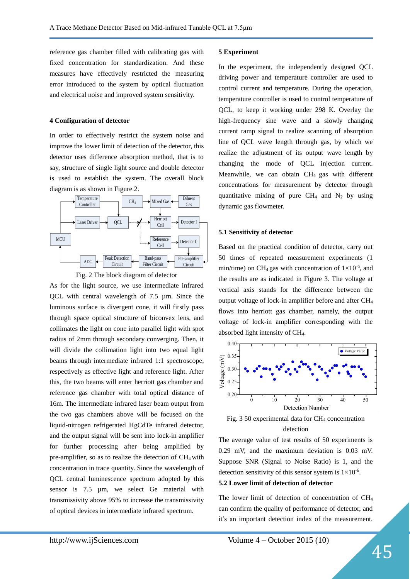reference gas chamber filled with calibrating gas with fixed concentration for standardization. And these measures have effectively restricted the measuring error introduced to the system by optical fluctuation and electrical noise and improved system sensitivity.

#### **4 Configuration of detector**

In order to effectively restrict the system noise and improve the lower limit of detection of the detector, this detector uses difference absorption method, that is to say, structure of single light source and double detector is used to establish the system. The overall block diagram is as shown in Figure 2.





As for the light source, we use intermediate infrared QCL with central wavelength of 7.5 µm. Since the luminous surface is divergent cone, it will firstly pass through space optical structure of biconvex lens, and collimates the light on cone into parallel light with spot radius of 2mm through secondary converging. Then, it will divide the collimation light into two equal light beams through intermediate infrared 1:1 spectroscope, respectively as effective light and reference light. After this, the two beams will enter herriott gas chamber and reference gas chamber with total optical distance of 16m. The intermediate infrared laser beam output from the two gas chambers above will be focused on the liquid-nitrogen refrigerated HgCdTe infrared detector, and the output signal will be sent into lock-in amplifier for further processing after being amplified by pre-amplifier, so as to realize the detection of  $CH<sub>4</sub>$  with concentration in trace quantity. Since the wavelength of QCL central luminescence spectrum adopted by this sensor is 7.5 µm, we select Ge material with transmissivity above 95% to increase the transmissivity of optical devices in intermediate infrared spectrum.

#### **5 Experiment**

In the experiment, the independently designed QCL driving power and temperature controller are used to control current and temperature. During the operation, temperature controller is used to control temperature of QCL, to keep it working under 298 K. Overlay the high-frequency sine wave and a slowly changing current ramp signal to realize scanning of absorption line of QCL wave length through gas, by which we realize the adjustment of its output wave length by changing the mode of QCL injection current. Meanwhile, we can obtain CH<sup>4</sup> gas with different concentrations for measurement by detector through quantitative mixing of pure  $CH_4$  and  $N_2$  by using dynamic gas flowmeter.

### **5.1 Sensitivity of detector**

Based on the practical condition of detector, carry out 50 times of repeated measurement experiments (1 min/time) on CH<sub>4</sub> gas with concentration of  $1\times10^{-6}$ , and the results are as indicated in Figure 3. The voltage at vertical axis stands for the difference between the output voltage of lock-in amplifier before and after CH<sup>4</sup> flows into herriott gas chamber, namely, the output voltage of lock-in amplifier corresponding with the absorbed light intensity of CH4.



Fig. 3 50 experimental data for  $CH<sub>4</sub>$  concentration detection

The average value of test results of 50 experiments is 0.29 mV, and the maximum deviation is 0.03 mV. Suppose SNR (Signal to Noise Ratio) is 1, and the detection sensitivity of this sensor system is  $1 \times 10^{-6}$ .

# **5.2 Lower limit of detection of detector**

The lower limit of detection of concentration of CH<sup>4</sup> can confirm the quality of performance of detector, and it's an important detection index of the measurement.